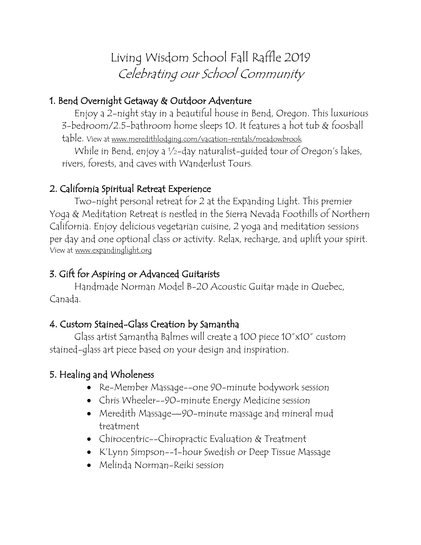Living Wisdom School Fall Raffle 2019 Celebrating our School Community

## 1. Bend Overnight Getaway & Outdoor Adventure

Enjoy a 2-night stay in a beautiful house in Bend, Oregon. This luxurious 3-bedroom/2.5-bathroom home sleeps 10. It features a hot tub & foosball table. View at www.meredithlodging.com/vacation-rentals/meadowbrook

While in Bend, enjoy a ½-day naturalist-guided tour of Oregon's lakes, rivers, forests, and caves with Wanderlust Tours.

## 2. California Spiritual Retreat Experience

Two-night personal retreat for 2 at the Expanding Light. This premier Yoga & Meditation Retreat is nestled in the Sierra Nevada Foothills of Northern California. Enjoy delicious vegetarian cuisine, 2 yoga and meditation sessions per day and one optional class or activity. Relax, recharge, and uplift your spirit. View at www.expandinglight.org

### 3. Gift for Aspiring or Advanced Guitarists

 Handmade Norman Model B-20 Acoustic Guitar made in Quebec, Canada.

### 4. Custom Stained-Glass Creation by Samantha

Glass artist Samantha Balmes will create a 100 piece 10"x10" custom stained-glass art piece based on your design and inspiration.

### 5. Healing and Wholeness

- Re-Member Massage--one 90-minute bodywork session
- Chris Wheeler--90-minute Energy Medicine session
- Meredith Massage—90-minute massage and mineral mud treatment
- Chirocentric--Chiropractic Evaluation & Treatment
- K'Lynn Simpson--1-hour Swedish or Deep Tissue Massage
- Melinda Norman-Reiki session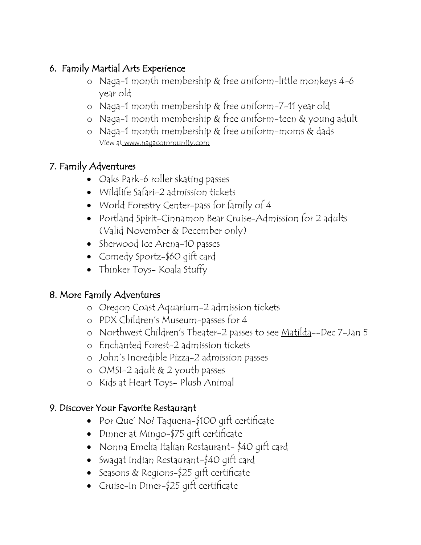### 6. Family Martial Arts Experience

- o Naga-1 month membership & free uniform-little monkeys 4-6 year old
- o Naga-1 month membership & free uniform-7-11 year old
- o Naga-1 month membership & free uniform-teen & young adult
- o Naga-1 month membership & free uniform-moms & dads View at www.nagacommunity.com

## 7. Family Adventures

- Oaks Park-6 roller skating passes
- Wildlife Safari-2 admission tickets
- World Forestry Center-pass for family of 4
- Portland Spirit-Cinnamon Bear Cruise-Admission for 2 adults (Valid November & December only)
- Sherwood Ice Arena-10 passes
- Comedy Sportz-\$60 gift card
- Thinker Toys- Koala Stuffy

## 8. More Family Adventures

- o Oregon Coast Aquarium-2 admission tickets
- o PDX Children's Museum-passes for 4
- o Northwest Children's Theater-2 passes to see Matilda--Dec 7-Jan 5
- o Enchanted Forest-2 admission tickets
- o John's Incredible Pizza-2 admission passes
- o OMSI-2 adult & 2 youth passes
- o Kids at Heart Toys- Plush Animal

### 9. Discover Your Favorite Restaurant

- Por Que' No? Taqueria-\$100 gift certificate
- Dinner at Mingo-\$75 gift certificate
- Nonna Emelia Italian Restaurant- \$40 gift card
- Swagat Indian Restaurant-\$40 gift card
- Seasons & Regions-\$25 gift certificate
- Cruise-In Diner-\$25 gift certificate